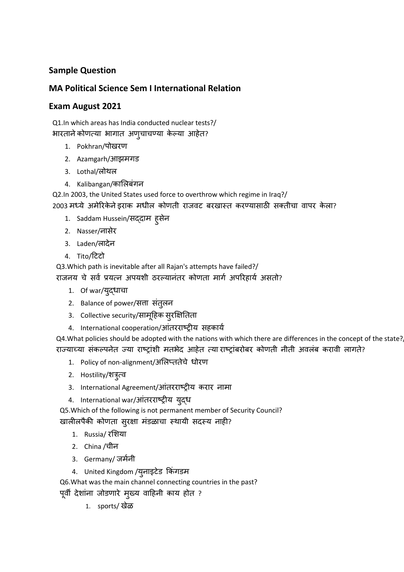## **Sample Question**

### **MA Political Science Sem I International Relation**

#### **Exam August 2021**

Q1.In which areas has India conducted nuclear tests?/ भारतानेकोणत्या भागात अणुचाचण्या केल्या आहेत?

- 1. Pokhran/पोखरण
- 2. Azamgarh/आझमगड
- 3. Lothal/लोथल
- 4. Kalibangan/काललबंगन

Q2.In 2003, the United States used force to overthrow which regime in Iraq?/ 2003 मध्ये अमेरिकेने इराक मधील कोणती राजवट बरखास्त करण्यासाठी सक्तीचा वापर केला?

- 1. Saddam Hussein/सद्दाम हुसेन
- 2. Nasser/नासेर
- 3. Laden/लादेन
- 4. Tito/टिटो

Q3.Which path is inevitable after all Rajan's attempts have failed?/

राजनय चे सर्व प्रयत्न अपयशी ठरल्यानंतर कोणता मार्ग अपरिहार्य असतो?

- 1. Of war/युद्धाचा
- 2. Balance of power/सत्ता संतुलन
- 3. Collective security/सामूहिक सूरक्षितिता
- 4. International cooperation/आंतरराष्ट्रीय सहकार्य

Q4. What policies should be adopted with the nations with which there are differences in the concept of the state? राज्याच्या संकल्पनेत ज्या राष्ट्रांशी मतभेद आहेत त्या राष्ट्रांबरोबर कोणती नीती अवलंब करावी लागते?

- 1. Policy of non-alignment/अलिप्ततेचे धोरण
- 2. Hostility/शत्रुत्व
- 3. International Agreement/आंतरराष्ट्रीय करार नामा
- 4. International war/आंतरराष्ट्रीय युद्ध

Q5.Which of the following is not permanent member of Security Council? खालीलपैकी कोणता सुरक्षा मंडळाचा स्थायी सदस्य नाही?

- 1. Russia/ रलशया
- 2. China /चीन
- 3. Germany/ जर्मनी
- 4. United Kingdom /युनाइटेड किंगडम

Q6.What was the main channel connecting countries in the past?

पूवी देशांना जोडणारे मुख्य वाटहनी काय होत ?

1. sports/ खेळ